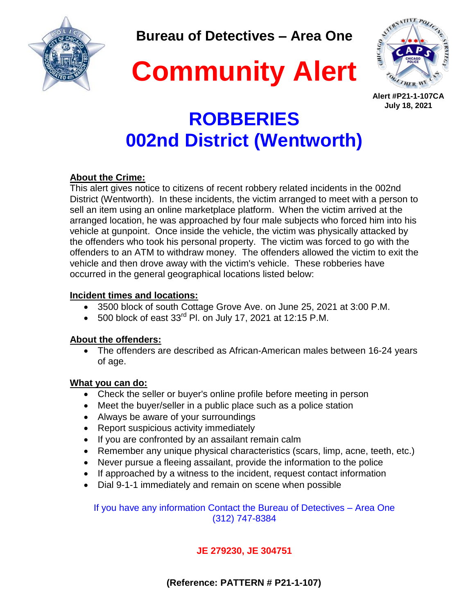

**Bureau of Detectives – Area One**

**Community Alert**



**Alert #P21-1-107CA July 18, 2021**

# **ROBBERIES 002nd District (Wentworth)**

### **About the Crime:**

This alert gives notice to citizens of recent robbery related incidents in the 002nd District (Wentworth). In these incidents, the victim arranged to meet with a person to sell an item using an online marketplace platform. When the victim arrived at the arranged location, he was approached by four male subjects who forced him into his vehicle at gunpoint. Once inside the vehicle, the victim was physically attacked by the offenders who took his personal property. The victim was forced to go with the offenders to an ATM to withdraw money. The offenders allowed the victim to exit the vehicle and then drove away with the victim's vehicle. These robberies have occurred in the general geographical locations listed below:

### **Incident times and locations:**

- 3500 block of south Cottage Grove Ave. on June 25, 2021 at 3:00 P.M.
- $\bullet$  500 block of east 33<sup>rd</sup> Pl. on July 17, 2021 at 12:15 P.M.

# **About the offenders:**

 The offenders are described as African-American males between 16-24 years of age.

# **What you can do:**

- Check the seller or buyer's online profile before meeting in person
- Meet the buyer/seller in a public place such as a police station
- Always be aware of your surroundings
- Report suspicious activity immediately
- If you are confronted by an assailant remain calm
- Remember any unique physical characteristics (scars, limp, acne, teeth, etc.)
- Never pursue a fleeing assailant, provide the information to the police
- If approached by a witness to the incident, request contact information
- Dial 9-1-1 immediately and remain on scene when possible

If you have any information Contact the Bureau of Detectives – Area One (312) 747-8384

# **JE 279230, JE 304751**

 **(Reference: PATTERN # P21-1-107)**